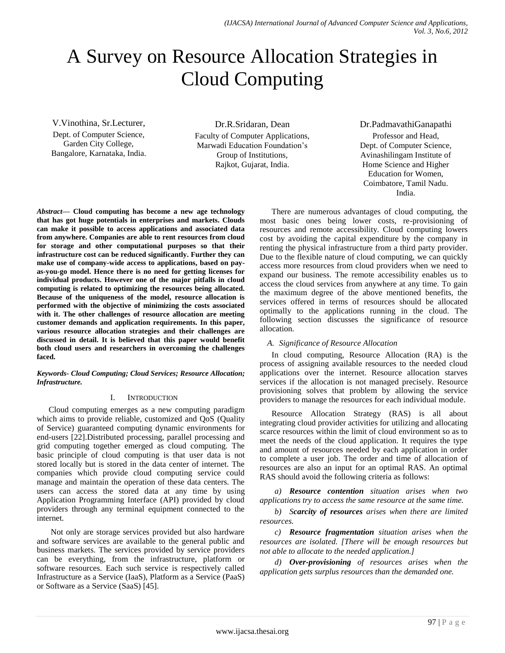# A Survey on Resource Allocation Strategies in Cloud Computing

V.Vinothina, Sr.Lecturer, Dept. of Computer Science, Garden City College, Bangalore, Karnataka, India.

Dr.R.Sridaran, Dean Faculty of Computer Applications, Marwadi Education Foundation's Group of Institutions, Rajkot, Gujarat, India.

Dr.PadmavathiGanapathi Professor and Head, Dept. of Computer Science, Avinashilingam Institute of Home Science and Higher Education for Women, Coimbatore, Tamil Nadu. India.

*Abstract***— Cloud computing has become a new age technology that has got huge potentials in enterprises and markets. Clouds can make it possible to access applications and associated data from anywhere. Companies are able to rent resources from cloud for storage and other computational purposes so that their infrastructure cost can be reduced significantly. Further they can make use of company-wide access to applications, based on payas-you-go model. Hence there is no need for getting licenses for individual products. However one of the major pitfalls in cloud computing is related to optimizing the resources being allocated. Because of the uniqueness of the model, resource allocation is performed with the objective of minimizing the costs associated with it. The other challenges of resource allocation are meeting customer demands and application requirements. In this paper, various resource allocation strategies and their challenges are discussed in detail. It is believed that this paper would benefit both cloud users and researchers in overcoming the challenges faced.**

#### *Keywords- Cloud Computing; Cloud Services; Resource Allocation; Infrastructure.*

#### I. INTRODUCTION

Cloud computing emerges as a new computing paradigm which aims to provide reliable, customized and QoS (Quality of Service) guaranteed computing dynamic environments for end-users [22].Distributed processing, parallel processing and grid computing together emerged as cloud computing. The basic principle of cloud computing is that user data is not stored locally but is stored in the data center of internet. The companies which provide cloud computing service could manage and maintain the operation of these data centers. The users can access the stored data at any time by using Application Programming Interface (API) provided by cloud providers through any terminal equipment connected to the internet.

Not only are storage services provided but also hardware and software services are available to the general public and business markets. The services provided by service providers can be everything, from the infrastructure, platform or software resources. Each such service is respectively called Infrastructure as a Service (IaaS), Platform as a Service (PaaS) or Software as a Service (SaaS) [45].

There are numerous advantages of cloud computing, the most basic ones being lower costs, re-provisioning of resources and remote accessibility. Cloud computing lowers cost by avoiding the capital expenditure by the company in renting the physical infrastructure from a third party provider. Due to the flexible nature of cloud computing, we can quickly access more resources from cloud providers when we need to expand our business. The remote accessibility enables us to access the cloud services from anywhere at any time. To gain the maximum degree of the above mentioned benefits, the services offered in terms of resources should be allocated optimally to the applications running in the cloud. The following section discusses the significance of resource allocation.

#### *A. Significance of Resource Allocation*

In cloud computing, Resource Allocation (RA) is the process of assigning available resources to the needed cloud applications over the internet. Resource allocation starves services if the allocation is not managed precisely. Resource provisioning solves that problem by allowing the service providers to manage the resources for each individual module.

Resource Allocation Strategy (RAS) is all about integrating cloud provider activities for utilizing and allocating scarce resources within the limit of cloud environment so as to meet the needs of the cloud application. It requires the type and amount of resources needed by each application in order to complete a user job. The order and time of allocation of resources are also an input for an optimal RAS. An optimal RAS should avoid the following criteria as follows:

*a) Resource contention situation arises when two applications try to access the same resource at the same time.*

*b) Scarcity of resources arises when there are limited resources.*

*c) Resource fragmentation situation arises when the resources are isolated. [There will be enough resources but not able to allocate to the needed application.]*

*d) Over-provisioning of resources arises when the application gets surplus resources than the demanded one.*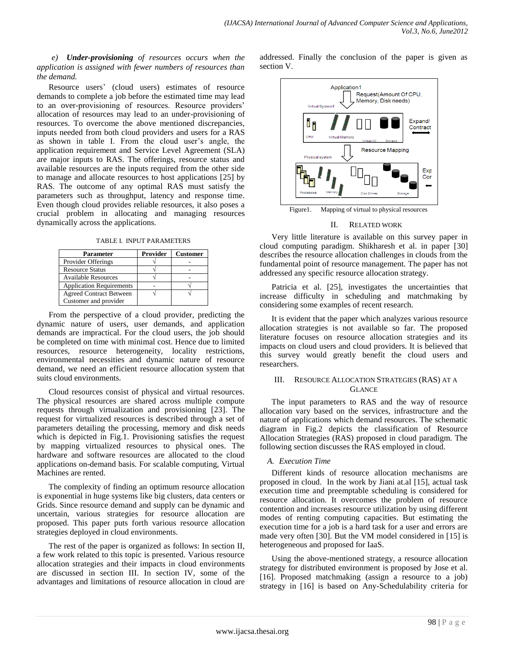*e) Under-provisioning of resources occurs when the application is assigned with fewer numbers of resources than the demand.* 

Resource users' (cloud users) estimates of resource demands to complete a job before the estimated time may lead to an over-provisioning of resources. Resource providers' allocation of resources may lead to an under-provisioning of resources. To overcome the above mentioned discrepancies, inputs needed from both cloud providers and users for a RAS as shown in table I. From the cloud user's angle, the application requirement and Service Level Agreement (SLA) are major inputs to RAS. The offerings, resource status and available resources are the inputs required from the other side to manage and allocate resources to host applications [25] by RAS. The outcome of any optimal RAS must satisfy the parameters such as throughput, latency and response time. Even though cloud provides reliable resources, it also poses a crucial problem in allocating and managing resources dynamically across the applications.

TABLE I. INPUT PARAMETERS

| Parameter                       | <b>Provider</b> | <b>Customer</b> |
|---------------------------------|-----------------|-----------------|
| Provider Offerings              |                 |                 |
| <b>Resource Status</b>          |                 |                 |
| <b>Available Resources</b>      |                 |                 |
| <b>Application Requirements</b> |                 |                 |
| <b>Agreed Contract Between</b>  |                 |                 |
| Customer and provider           |                 |                 |

From the perspective of a cloud provider, predicting the dynamic nature of users, user demands, and application demands are impractical. For the cloud users, the job should be completed on time with minimal cost. Hence due to limited resources, resource heterogeneity, locality restrictions, environmental necessities and dynamic nature of resource demand, we need an efficient resource allocation system that suits cloud environments.

Cloud resources consist of physical and virtual resources. The physical resources are shared across multiple compute requests through virtualization and provisioning [23]. The request for virtualized resources is described through a set of parameters detailing the processing, memory and disk needs which is depicted in Fig.1. Provisioning satisfies the request by mapping virtualized resources to physical ones. The hardware and software resources are allocated to the cloud applications on-demand basis. For scalable computing, Virtual Machines are rented.

The complexity of finding an optimum resource allocation is exponential in huge systems like big clusters, data centers or Grids. Since resource demand and supply can be dynamic and uncertain, various strategies for resource allocation are proposed. This paper puts forth various resource allocation strategies deployed in cloud environments.

The rest of the paper is organized as follows: In section II, a few work related to this topic is presented. Various resource allocation strategies and their impacts in cloud environments are discussed in section III. In section IV, some of the advantages and limitations of resource allocation in cloud are addressed. Finally the conclusion of the paper is given as section V.



Figure1. Mapping of virtual to physical resources

#### II. RELATED WORK

Very little literature is available on this survey paper in cloud computing paradigm. Shikharesh et al. in paper [30] describes the resource allocation challenges in clouds from the fundamental point of resource management. The paper has not addressed any specific resource allocation strategy.

Patricia et al. [25], investigates the uncertainties that increase difficulty in scheduling and matchmaking by considering some examples of recent research.

It is evident that the paper which analyzes various resource allocation strategies is not available so far. The proposed literature focuses on resource allocation strategies and its impacts on cloud users and cloud providers. It is believed that this survey would greatly benefit the cloud users and researchers.

### III. RESOURCE ALLOCATION STRATEGIES (RAS) AT A **GLANCE**

The input parameters to RAS and the way of resource allocation vary based on the services, infrastructure and the nature of applications which demand resources. The schematic diagram in Fig.2 depicts the classification of Resource Allocation Strategies (RAS) proposed in cloud paradigm. The following section discusses the RAS employed in cloud.

#### *A. Execution Time*

Different kinds of resource allocation mechanisms are proposed in cloud. In the work by Jiani at.al [15], actual task execution time and preemptable scheduling is considered for resource allocation. It overcomes the problem of resource contention and increases resource utilization by using different modes of renting computing capacities. But estimating the execution time for a job is a hard task for a user and errors are made very often [30]. But the VM model considered in [15] is heterogeneous and proposed for IaaS.

Using the above-mentioned strategy, a resource allocation strategy for distributed environment is proposed by Jose et al. [16]. Proposed matchmaking (assign a resource to a job) strategy in [16] is based on Any-Schedulability criteria for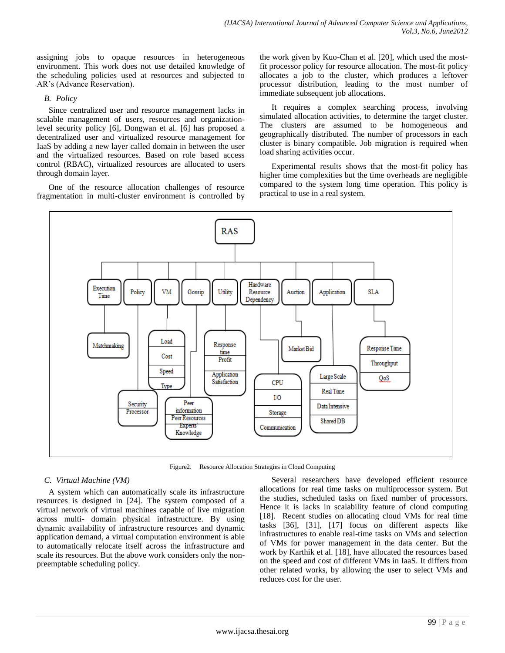assigning jobs to opaque resources in heterogeneous environment. This work does not use detailed knowledge of the scheduling policies used at resources and subjected to AR's (Advance Reservation).

#### *B. Policy*

Since centralized user and resource management lacks in scalable management of users, resources and organizationlevel security policy [6], Dongwan et al. [6] has proposed a decentralized user and virtualized resource management for IaaS by adding a new layer called domain in between the user and the virtualized resources. Based on role based access control (RBAC), virtualized resources are allocated to users through domain layer.

One of the resource allocation challenges of resource fragmentation in multi-cluster environment is controlled by the work given by Kuo-Chan et al. [20], which used the mostfit processor policy for resource allocation. The most-fit policy allocates a job to the cluster, which produces a leftover processor distribution, leading to the most number of immediate subsequent job allocations.

It requires a complex searching process, involving simulated allocation activities, to determine the target cluster. The clusters are assumed to be homogeneous and geographically distributed. The number of processors in each cluster is binary compatible. Job migration is required when load sharing activities occur.

Experimental results shows that the most-fit policy has higher time complexities but the time overheads are negligible compared to the system long time operation. This policy is practical to use in a real system.



Figure2. Resource Allocation Strategies in Cloud Computing

# *C. Virtual Machine (VM)*

A system which can automatically scale its infrastructure resources is designed in [24]. The system composed of a virtual network of virtual machines capable of live migration across multi- domain physical infrastructure. By using dynamic availability of infrastructure resources and dynamic application demand, a virtual computation environment is able to automatically relocate itself across the infrastructure and scale its resources. But the above work considers only the nonpreemptable scheduling policy.

Several researchers have developed efficient resource allocations for real time tasks on multiprocessor system. But the studies, scheduled tasks on fixed number of processors. Hence it is lacks in scalability feature of cloud computing [18]. Recent studies on allocating cloud VMs for real time tasks [36], [31], [17] focus on different aspects like infrastructures to enable real-time tasks on VMs and selection of VMs for power management in the data center. But the work by Karthik et al. [18], have allocated the resources based on the speed and cost of different VMs in IaaS. It differs from other related works, by allowing the user to select VMs and reduces cost for the user.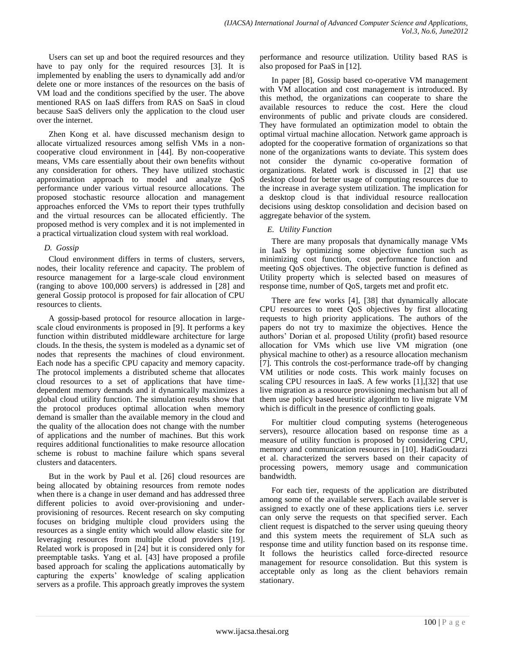Users can set up and boot the required resources and they have to pay only for the required resources [3]. It is implemented by enabling the users to dynamically add and/or delete one or more instances of the resources on the basis of VM load and the conditions specified by the user. The above mentioned RAS on IaaS differs from RAS on SaaS in cloud because SaaS delivers only the application to the cloud user over the internet.

Zhen Kong et al. have discussed mechanism design to allocate virtualized resources among selfish VMs in a noncooperative cloud environment in [44]. By non-cooperative means, VMs care essentially about their own benefits without any consideration for others. They have utilized stochastic approximation approach to model and analyze QoS performance under various virtual resource allocations. The proposed stochastic resource allocation and management approaches enforced the VMs to report their types truthfully and the virtual resources can be allocated efficiently. The proposed method is very complex and it is not implemented in a practical virtualization cloud system with real workload.

### *D. Gossip*

Cloud environment differs in terms of clusters, servers, nodes, their locality reference and capacity. The problem of resource management for a large-scale cloud environment (ranging to above 100,000 servers) is addressed in [28] and general Gossip protocol is proposed for fair allocation of CPU resources to clients.

A gossip-based protocol for resource allocation in largescale cloud environments is proposed in [9]. It performs a key function within distributed middleware architecture for large clouds. In the thesis, the system is modeled as a dynamic set of nodes that represents the machines of cloud environment. Each node has a specific CPU capacity and memory capacity. The protocol implements a distributed scheme that allocates cloud resources to a set of applications that have timedependent memory demands and it dynamically maximizes a global cloud utility function. The simulation results show that the protocol produces optimal allocation when memory demand is smaller than the available memory in the cloud and the quality of the allocation does not change with the number of applications and the number of machines. But this work requires additional functionalities to make resource allocation scheme is robust to machine failure which spans several clusters and datacenters.

But in the work by Paul et al. [26] cloud resources are being allocated by obtaining resources from remote nodes when there is a change in user demand and has addressed three different policies to avoid over-provisioning and underprovisioning of resources. Recent research on sky computing focuses on bridging multiple cloud providers using the resources as a single entity which would allow elastic site for leveraging resources from multiple cloud providers [19]. Related work is proposed in [24] but it is considered only for preemptable tasks. Yang et al. [43] have proposed a profile based approach for scaling the applications automatically by capturing the experts' knowledge of scaling application servers as a profile. This approach greatly improves the system

performance and resource utilization. Utility based RAS is also proposed for PaaS in [12].

In paper [8], Gossip based co-operative VM management with VM allocation and cost management is introduced. By this method, the organizations can cooperate to share the available resources to reduce the cost. Here the cloud environments of public and private clouds are considered. They have formulated an optimization model to obtain the optimal virtual machine allocation. Network game approach is adopted for the cooperative formation of organizations so that none of the organizations wants to deviate. This system does not consider the dynamic co-operative formation of organizations. Related work is discussed in [2] that use desktop cloud for better usage of computing resources due to the increase in average system utilization. The implication for a desktop cloud is that individual resource reallocation decisions using desktop consolidation and decision based on aggregate behavior of the system.

# *E. Utility Function*

There are many proposals that dynamically manage VMs in IaaS by optimizing some objective function such as minimizing cost function, cost performance function and meeting QoS objectives. The objective function is defined as Utility property which is selected based on measures of response time, number of QoS, targets met and profit etc.

There are few works [4], [38] that dynamically allocate CPU resources to meet QoS objectives by first allocating requests to high priority applications. The authors of the papers do not try to maximize the objectives. Hence the authors' Dorian et al. proposed Utility (profit) based resource allocation for VMs which use live VM migration (one physical machine to other) as a resource allocation mechanism [7]. This controls the cost-performance trade-off by changing VM utilities or node costs. This work mainly focuses on scaling CPU resources in IaaS. A few works [1],[32] that use live migration as a resource provisioning mechanism but all of them use policy based heuristic algorithm to live migrate VM which is difficult in the presence of conflicting goals.

For multitier cloud computing systems (heterogeneous servers), resource allocation based on response time as a measure of utility function is proposed by considering CPU, memory and communication resources in [10]. HadiGoudarzi et al. characterized the servers based on their capacity of processing powers, memory usage and communication bandwidth.

For each tier, requests of the application are distributed among some of the available servers. Each available server is assigned to exactly one of these applications tiers i.e. server can only serve the requests on that specified server. Each client request is dispatched to the server using queuing theory and this system meets the requirement of SLA such as response time and utility function based on its response time. It follows the heuristics called force-directed resource management for resource consolidation. But this system is acceptable only as long as the client behaviors remain stationary.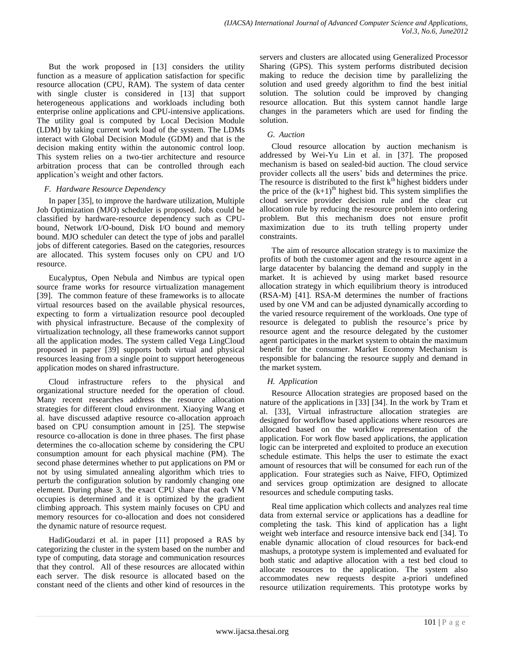But the work proposed in [13] considers the utility function as a measure of application satisfaction for specific resource allocation (CPU, RAM). The system of data center with single cluster is considered in [13] that support heterogeneous applications and workloads including both enterprise online applications and CPU-intensive applications. The utility goal is computed by Local Decision Module (LDM) by taking current work load of the system. The LDMs interact with Global Decision Module (GDM) and that is the decision making entity within the autonomic control loop. This system relies on a two-tier architecture and resource arbitration process that can be controlled through each application's weight and other factors.

### *F. Hardware Resource Dependency*

In paper [35], to improve the hardware utilization, Multiple Job Optimization (MJO) scheduler is proposed. Jobs could be classified by hardware-resource dependency such as CPUbound, Network I/O-bound, Disk I/O bound and memory bound. MJO scheduler can detect the type of jobs and parallel jobs of different categories. Based on the categories, resources are allocated. This system focuses only on CPU and I/O resource.

Eucalyptus, Open Nebula and Nimbus are typical open source frame works for resource virtualization management [39]. The common feature of these frameworks is to allocate virtual resources based on the available physical resources, expecting to form a virtualization resource pool decoupled with physical infrastructure. Because of the complexity of virtualization technology, all these frameworks cannot support all the application modes. The system called Vega LingCloud proposed in paper [39] supports both virtual and physical resources leasing from a single point to support heterogeneous application modes on shared infrastructure.

Cloud infrastructure refers to the physical and organizational structure needed for the operation of cloud. Many recent researches address the resource allocation strategies for different cloud environment. Xiaoying Wang et al. have discussed adaptive resource co-allocation approach based on CPU consumption amount in [25]. The stepwise resource co-allocation is done in three phases. The first phase determines the co-allocation scheme by considering the CPU consumption amount for each physical machine (PM). The second phase determines whether to put applications on PM or not by using simulated annealing algorithm which tries to perturb the configuration solution by randomly changing one element. During phase 3, the exact CPU share that each VM occupies is determined and it is optimized by the gradient climbing approach. This system mainly focuses on CPU and memory resources for co-allocation and does not considered the dynamic nature of resource request.

HadiGoudarzi et al. in paper [11] proposed a RAS by categorizing the cluster in the system based on the number and type of computing, data storage and communication resources that they control. All of these resources are allocated within each server. The disk resource is allocated based on the constant need of the clients and other kind of resources in the servers and clusters are allocated using Generalized Processor Sharing (GPS). This system performs distributed decision making to reduce the decision time by parallelizing the solution and used greedy algorithm to find the best initial solution. The solution could be improved by changing resource allocation. But this system cannot handle large changes in the parameters which are used for finding the solution.

#### *G. Auction*

Cloud resource allocation by auction mechanism is addressed by Wei-Yu Lin et al. in [37]. The proposed mechanism is based on sealed-bid auction. The cloud service provider collects all the users' bids and determines the price. The resource is distributed to the first  $k<sup>th</sup>$  highest bidders under the price of the  $(k+1)^{th}$  highest bid. This system simplifies the cloud service provider decision rule and the clear cut allocation rule by reducing the resource problem into ordering problem. But this mechanism does not ensure profit maximization due to its truth telling property under constraints.

The aim of resource allocation strategy is to maximize the profits of both the customer agent and the resource agent in a large datacenter by balancing the demand and supply in the market. It is achieved by using market based resource allocation strategy in which equilibrium theory is introduced (RSA-M) [41]. RSA-M determines the number of fractions used by one VM and can be adjusted dynamically according to the varied resource requirement of the workloads. One type of resource is delegated to publish the resource's price by resource agent and the resource delegated by the customer agent participates in the market system to obtain the maximum benefit for the consumer. Market Economy Mechanism is responsible for balancing the resource supply and demand in the market system.

# *H. Application*

Resource Allocation strategies are proposed based on the nature of the applications in [33] [34]. In the work by Tram et al. [33], Virtual infrastructure allocation strategies are designed for workflow based applications where resources are allocated based on the workflow representation of the application. For work flow based applications, the application logic can be interpreted and exploited to produce an execution schedule estimate. This helps the user to estimate the exact amount of resources that will be consumed for each run of the application. Four strategies such as Naive, FIFO, Optimized and services group optimization are designed to allocate resources and schedule computing tasks.

Real time application which collects and analyzes real time data from external service or applications has a deadline for completing the task. This kind of application has a light weight web interface and resource intensive back end [34]. To enable dynamic allocation of cloud resources for back-end mashups, a prototype system is implemented and evaluated for both static and adaptive allocation with a test bed cloud to allocate resources to the application. The system also accommodates new requests despite a-priori undefined resource utilization requirements. This prototype works by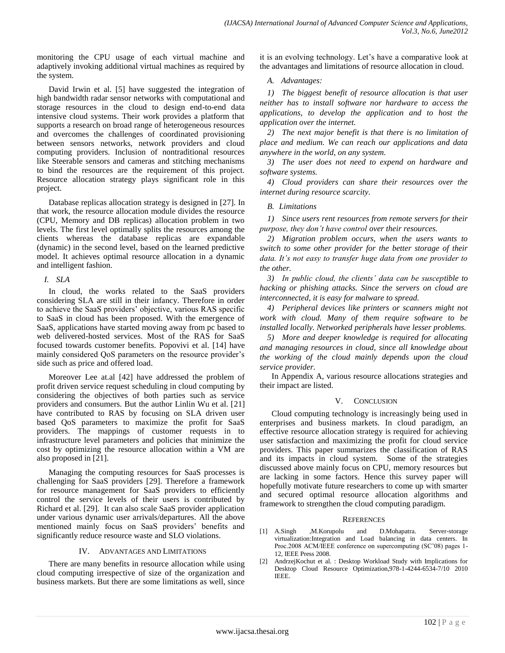monitoring the CPU usage of each virtual machine and adaptively invoking additional virtual machines as required by the system.

David Irwin et al. [5] have suggested the integration of high bandwidth radar sensor networks with computational and storage resources in the cloud to design end-to-end data intensive cloud systems. Their work provides a platform that supports a research on broad range of heterogeneous resources and overcomes the challenges of coordinated provisioning between sensors networks, network providers and cloud computing providers. Inclusion of nontraditional resources like Steerable sensors and cameras and stitching mechanisms to bind the resources are the requirement of this project. Resource allocation strategy plays significant role in this project.

Database replicas allocation strategy is designed in [27]. In that work, the resource allocation module divides the resource (CPU, Memory and DB replicas) allocation problem in two levels. The first level optimally splits the resources among the clients whereas the database replicas are expandable (dynamic) in the second level, based on the learned predictive model. It achieves optimal resource allocation in a dynamic and intelligent fashion.

### *I. SLA*

In cloud, the works related to the SaaS providers considering SLA are still in their infancy. Therefore in order to achieve the SaaS providers' objective, various RAS specific to SaaS in cloud has been proposed. With the emergence of SaaS, applications have started moving away from pc based to web delivered-hosted services. Most of the RAS for SaaS focused towards customer benefits. Popovivi et al. [14] have mainly considered QoS parameters on the resource provider's side such as price and offered load.

Moreover Lee at.al [42] have addressed the problem of profit driven service request scheduling in cloud computing by considering the objectives of both parties such as service providers and consumers. But the author Linlin Wu et al. [21] have contributed to RAS by focusing on SLA driven user based QoS parameters to maximize the profit for SaaS providers. The mappings of customer requests in to infrastructure level parameters and policies that minimize the cost by optimizing the resource allocation within a VM are also proposed in [21].

Managing the computing resources for SaaS processes is challenging for SaaS providers [29]. Therefore a framework for resource management for SaaS providers to efficiently control the service levels of their users is contributed by Richard et al. [29]. It can also scale SaaS provider application under various dynamic user arrivals/departures. All the above mentioned mainly focus on SaaS providers' benefits and significantly reduce resource waste and SLO violations.

# IV. ADVANTAGES AND LIMITATIONS

There are many benefits in resource allocation while using cloud computing irrespective of size of the organization and business markets. But there are some limitations as well, since it is an evolving technology. Let's have a comparative look at the advantages and limitations of resource allocation in cloud.

# *A. Advantages:*

*1) The biggest benefit of resource allocation is that user neither has to install software nor hardware to access the applications, to develop the application and to host the application over the internet.* 

*2) The next major benefit is that there is no limitation of place and medium. We can reach our applications and data anywhere in the world, on any system.* 

*3) The user does not need to expend on hardware and software systems.* 

*4) Cloud providers can share their resources over the internet during resource scarcity.*

# *B. Limitations*

*1) Since users rent resources from remote servers for their purpose, they don't have control over their resources.*

*2) Migration problem occurs, when the users wants to switch to some other provider for the better storage of their data. It's not easy to transfer huge data from one provider to the other.*

*3) In public cloud, the clients' data can be susceptible to hacking or phishing attacks. Since the servers on cloud are interconnected, it is easy for malware to spread.* 

*4) Peripheral devices like printers or scanners might not work with cloud. Many of them require software to be installed locally. Networked peripherals have lesser problems.*

*5) More and deeper knowledge is required for allocating and managing resources in cloud, since all knowledge about the working of the cloud mainly depends upon the cloud service provider.*

In Appendix A, various resource allocations strategies and their impact are listed.

# V. CONCLUSION

Cloud computing technology is increasingly being used in enterprises and business markets. In cloud paradigm, an effective resource allocation strategy is required for achieving user satisfaction and maximizing the profit for cloud service providers. This paper summarizes the classification of RAS and its impacts in cloud system. Some of the strategies discussed above mainly focus on CPU, memory resources but are lacking in some factors. Hence this survey paper will hopefully motivate future researchers to come up with smarter and secured optimal resource allocation algorithms and framework to strengthen the cloud computing paradigm.

#### **REFERENCES**

- [1] A.Singh ,M.Korupolu and D.Mohapatra. Server-storage virtualization:Integration and Load balancing in data centers. In Proc.2008 ACM/IEEE conference on supercomputing (SC'08) pages 1- 12, IEEE Press 2008.
- [2] AndrzejKochut et al. : Desktop Workload Study with Implications for Desktop Cloud Resource Optimization,978-1-4244-6534-7/10 2010 IEEE.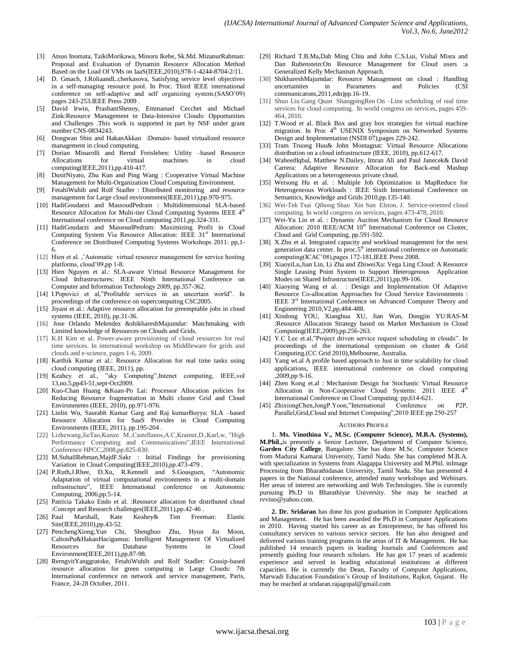- [3] Atsuo Inomata, TaikiMorikawa, Minoru Ikebe, Sk.Md. MizanurRahman: Proposal and Evaluation of Dynamin Resource Allocation Method Based on the Load Of VMs on IaaS(IEEE,2010),978-1-4244-8704-2/11.
- [4] D. Gmach, J.RoliaandL.cherkasova, Satisfying service level objectives in a self-managing resource pool. In Proc. Third IEEE international conference on self-adaptive and self organizing system.(SASO'09) pages 243-253.IEEE Press 2009 .
- [5] David Irwin, PrashantShenoy, Emmanuel Cecchet and Michael Zink:Resource Management in Data-Intensive Clouds: Opportunities and Challenges .This work is supported in part by NSF under grant number CNS-0834243.
- [6] Dongwan Shin and HakanAkkan :Domain- based virtualized resource management in cloud computing.
- [7] Dorian Minarolli and Bernd Freisleben: Uitlity –based Resource Allocations for virtual machines in cloud computing(IEEE,2011),pp.410-417.
- [8] DusitNiyato, Zhu Kun and Ping Wang : Cooperative Virtual Machine Management for Multi-Organization Cloud Computing Environment.
- [9] FetahiWuhib and Rolf Stadler : Distributed monitoring and resource management for Large cloud environments(IEEE,2011),pp.970-975.
- [10] HadiGoudaezi and MassoudPedram : Multidimensional SLA-based Resource Allocation for Multi-tier Cloud Computing Systems IEEE 4<sup>th</sup> International conference on Cloud computing 2011,pp.324-331.
- [11] HadiGoudarzi and MassoudPedram: Maximizing Profit in Cloud Computing System Via Resource Allocation: IEEE 31<sup>st</sup> International Conference on Distributed Computing Systems Workshops 2011: pp,1- 6.
- [12] Hien et al., 'Automatic virtual resource management for service hosting platforms, cloud'09,pp 1-8.
- [13] Hien Nguyen et al.: SLA-aware Virtual Resource Management for Cloud Infrastructures: IEEE Ninth International Conference on Computer and Information Technology 2009, pp.357-362.
- [14] I.Popovici et al,"Profitable services in an uncertain world". In proceedings of the conference on supercomputing CSC2005.
- [15] Jiyani et al.: Adaptive resource allocation for preemptable jobs in cloud systems (IEEE, 2010), pp.31-36.
- [16] Jose Orlando Melendez &shikhareshMajumdar: Matchmaking with Limited knowledge of Resources on Clouds and Grids.
- [17] K.H Kim et al. Power-aware provisioning of cloud resources for real time services. In international workshop on Middlleware for grids and clouds and e-science, pages 1-6, 2009.
- [18] Karthik Kumar et al.: Resource Allocation for real time tasks using cloud computing (IEEE, 2011), pp.
- [19] Keahey et al., "sky Computing",Intenet computing, IEEE,vol 13,no.5,pp43-51,sept-Oct2009.
- [20] Kuo-Chan Huang &Kuan-Po Lai: Processor Allocation policies for Reducing Resource fragmentation in Multi cluster Grid and Cloud Environments (IEEE, 2010), pp.971-976.
- [21] Linlin Wu, Saurabh Kumar Garg and Raj kumarBuyya: SLA –based Resource Allocation for SaaS Provides in Cloud Computing Environments (IEEE, 2011), pp.195-204 .
- [22] Lizhewang,JieTao,Kunze M.,Castellanos,A.C,Kramer,D.,Karl,w, "High Performance Computing and Communications",IEEE International Conference HPCC,2008,pp.825-830.
- [23] M.SuhailRehman,MajdF.Sakr : Initial Findings for provisioning Variation in Cloud Computing(IEEE,2010),pp.473-479 .
- [24] P.Ruth,J.Rhee, D.Xu, R.Kennell and S.Goasguen, "Autonomic Adaptation of virtual computational environments in a multi-domain infrastructure", IEEE International conference on Autonomic Computing, 2006,pp.5-14.
- [25] Patricia Takako Endo et al. :Resource allocation for distributed cloud :Concept and Research challenges(IEEE,2011),pp.42-46 .
- [26] Paul Marshall, Kate Keahey& Tim Freeman: Elastic Site(IEEE,2010),pp.43-52.
- [27] PenchengXiong,Yun Chi, Shenghuo Zhu, Hyun Jin Moon, CaltonPu&HakanHacigumus: Intelligent Management Of Virtualized Resources for Database Systems in Cloud Environment(IEEE,2011),pp.87-98.
- [28] RerngvitYanggratoke, FetahiWuhib and Rolf Stadler: Gossip-based resource allocation for green computing in Large Clouds: 7th International conference on network and service management, Paris, France, 24-28 October, 2011.
- [29] Richard T.B.Ma,Dah Ming Chiu and John C.S.Lui, Vishal Misra and Dan Rubenstein:On Resource Management for Cloud users :a Generalized Kelly Mechanism Approach.
- [30] ShikhareshMajumdar: Resource Management on cloud : Handling uncertainties in Parameters and Policies (CSI communicatons,2011,edn)pp.16-19.
- [31] Shuo Liu Gang Quan ShangpingRen On –Line scheduling of real time services for cloud computing. In world congress on services, pages 459- 464, 2010.
- [32] T.Wood et al. Black Box and gray box strategies for virtual machine migration. In Proc 4<sup>th</sup> USENIX Symposium on Networked Systems Design and Implementation (NSDI 07),pages 229-242.
- [33] Tram Truong Huu& John Montagnat: Virtual Resource Allocations distribution on a cloud infrastructure (IEEE, 2010), pp.612-617.
- [34] WaheedIqbal, Matthew N.Dailey, Imran Ali and Paul Janecek& David Carrera: Adaptive Resource Allocation for Back-end Mashup Applications on a heterogeneous private cloud.
- [35] Weisong Hu et al. : Multiple Job Optimization in MapReduce for Heterogeneous Workloads : IEEE Sixth International Conference on Semantics, Knowledge and Grids 2010,pp.135-140.
- [36] Wei-Tek Tsai Qihong Shao Xin Sun Elston, J. Service-oriented cloud computing. In world congress on services, pages 473-478, 2010.
- [37] Wei-Yu Lin et al. : Dynamic Auction Mechanism for Cloud Resource Allocation: 2010 IEEE/ACM 10<sup>th</sup> International Conference on Cluster, Cloud and Grid Computing, pp.591-592.
- [38] X.Zhu et al. Integrated capacity and workload management for the next generation data center. In proc. $5<sup>th</sup>$  international conference on Automatic computing(ICAC'08),pages 172-181,IEEE Press 2008.
- [39] XiaoyiLu,Jian Lin, Li Zha and ZhiweiXu: Vega Ling Cloud: A Resource Single Leasing Point System to Support Heterogenous Application Modes on Shared Infrastructure(IEEE,2011),pp.99-106.
- [40] Xiaoying Wang et al. : Design and Implementation Of Adaptive Resource Co-allocation Approaches for Cloud Service Environments : IEEE 3rd International Conference on Advanced Computer Theory and Engineering 2010,V2,pp,484-488.
- [41] Xindong YOU, Xianghua XU, Jian Wan, Dongjin YU:RAS-M :Resource Allocation Strategy based on Market Mechanism in Cloud Computing(IEEE,2009),pp.256-263.
- [42] Y.C Lee et.al,"Project driven service request scheduling in clouds". In proceedings of the international symposium on cluster & Grid Computing.(CC Grid 2010),Melbourne, Australia.
- [43] Yang wt.al A profile based approach to Just in time scalability for cloud applications, IEEE international conference on cloud computing ,2009,pp 9-16.
- [44] Zhen Kong et.al : Mechanism Design for Stochastic Virtual Resource Allocation in Non-Cooperative Cloud Systems: 2011 IEEE 4th International Conference on Cloud Computing :pp,614-621.
- [45] ZhixiongChen,JongP.Yoon,"International Conference on P2P, Parallel,Grid,Cloud and Internet Computing",2010 IEEE:pp 250-257

#### AUTHORS PROFILE

1. **Ms. Vinothina V., M.Sc. (Computer Science), M.B.A. (Systems), M.Phil.,**is presently a Senior Lecturer, Department of Computer Science, **Garden City College**, Bangalore. She has done M.Sc. Computer Science from Madurai Kamarai University, Tamil Nadu. She has completed M.B.A. with specialization in Systems from Alagappa University and M.Phil. inImage Processing from Bharathidasan University, Tamil Nadu. She has presented 4 papers in the National conference, attended many workshops and Webinars. Her areas of interest are networking and Web Technologies. She is currently pursuing Ph.D in Bharathiyar University. She may be reached at rvvino@yahoo.com.

**2. Dr. Sridaran** has done his post graduation in Computer Applications and Management. He has been awarded the Ph.D in Computer Applications in 2010. Having started his career as an Entrepreneur, he has offered his consultancy services to various service sectors. He has also designed and delivered various training programs in the areas of IT & Management. He has published 14 research papers in leading Journals and Conferences and presently guiding four research scholars. He has got 17 years of academic experience and served in leading educational institutions at different capacities. He is currently the Dean, Faculty of Computer Applications, Marwadi Education Foundation's Group of Institutions, Rajkot, Gujarat. He may be reached a[t sridaran.rajagopal@gmail.com](mailto:sridaran.rajagopal@gmail.com)